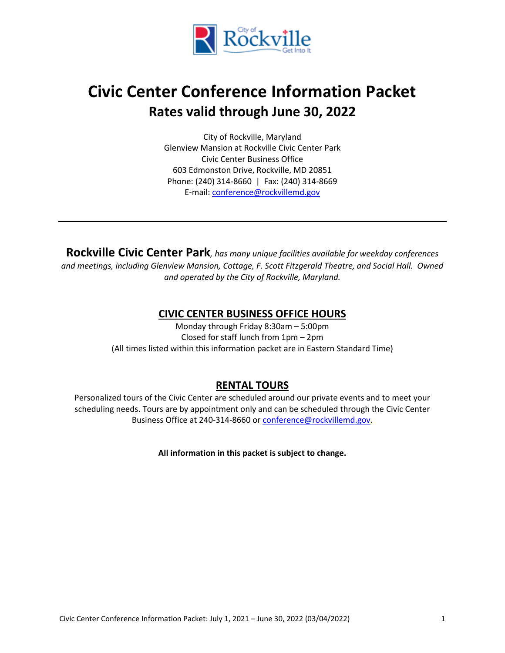

# **Civic Center Conference Information Packet Rates valid through June 30, 2022**

City of Rockville, Maryland Glenview Mansion at Rockville Civic Center Park Civic Center Business Office 603 Edmonston Drive, Rockville, MD 20851 Phone: (240) 314-8660 | Fax: (240) 314-8669 E-mail: [conference@rockvillemd.gov](mailto:conference@rockvillemd.gov)

**Rockville Civic Center Park***, has many unique facilities available for weekday conferences and meetings, including Glenview Mansion, Cottage, F. Scott Fitzgerald Theatre, and Social Hall. Owned and operated by the City of Rockville, Maryland.*

## **CIVIC CENTER BUSINESS OFFICE HOURS**

Monday through Friday 8:30am – 5:00pm Closed for staff lunch from 1pm – 2pm (All times listed within this information packet are in Eastern Standard Time)

## **RENTAL TOURS**

Personalized tours of the Civic Center are scheduled around our private events and to meet your scheduling needs. Tours are by appointment only and can be scheduled through the Civic Center Business Office at 240-314-8660 o[r conference@rockvillemd.gov.](mailto:conference@rockvillemd.gov)

**All information in this packet is subject to change.**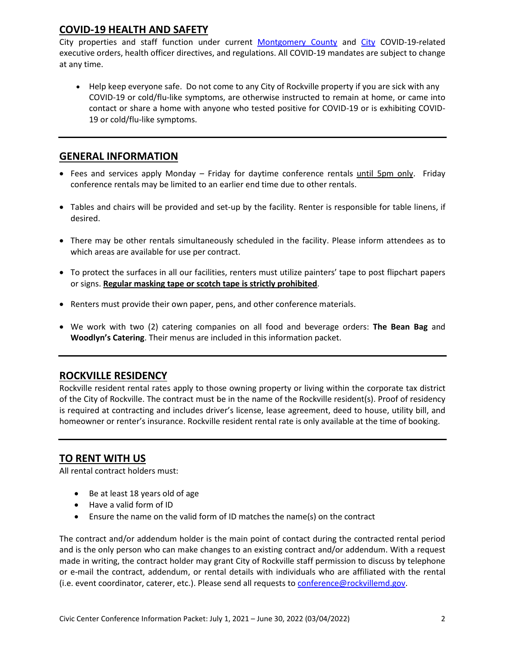## **COVID-19 HEALTH AND SAFETY**

City properties and staff function under current [Montgomery County](https://www.montgomerycountymd.gov/covid19/index.html) and [City](https://www.rockvillemd.gov/2315/COVID-19-Closures-and-Cancellations) COVID-19-related executive orders, health officer directives, and regulations. All COVID-19 mandates are subject to change at any time.

• Help keep everyone safe. Do not come to any City of Rockville property if you are sick with any COVID-19 or cold/flu-like symptoms, are otherwise instructed to remain at home, or came into contact or share a home with anyone who tested positive for COVID-19 or is exhibiting COVID-19 or cold/flu-like symptoms.

## **GENERAL INFORMATION**

- Fees and services apply Monday Friday for daytime conference rentals until 5pm only. Friday conference rentals may be limited to an earlier end time due to other rentals.
- Tables and chairs will be provided and set-up by the facility. Renter is responsible for table linens, if desired.
- There may be other rentals simultaneously scheduled in the facility. Please inform attendees as to which areas are available for use per contract.
- To protect the surfaces in all our facilities, renters must utilize painters' tape to post flipchart papers or signs. **Regular masking tape or scotch tape is strictly prohibited**.
- Renters must provide their own paper, pens, and other conference materials.
- We work with two (2) catering companies on all food and beverage orders: **The Bean Bag** and **Woodlyn's Catering**. Their menus are included in this information packet.

## **ROCKVILLE RESIDENCY**

Rockville resident rental rates apply to those owning property or living within the corporate tax district of the City of Rockville. The contract must be in the name of the Rockville resident(s). Proof of residency is required at contracting and includes driver's license, lease agreement, deed to house, utility bill, and homeowner or renter's insurance. Rockville resident rental rate is only available at the time of booking.

## **TO RENT WITH US**

All rental contract holders must:

- Be at least 18 years old of age
- Have a valid form of ID
- Ensure the name on the valid form of ID matches the name(s) on the contract

The contract and/or addendum holder is the main point of contact during the contracted rental period and is the only person who can make changes to an existing contract and/or addendum. With a request made in writing, the contract holder may grant City of Rockville staff permission to discuss by telephone or e-mail the contract, addendum, or rental details with individuals who are affiliated with the rental (i.e. event coordinator, caterer, etc.). Please send all requests to [conference@rockvillemd.gov.](mailto:conference@rockvillemd.gov)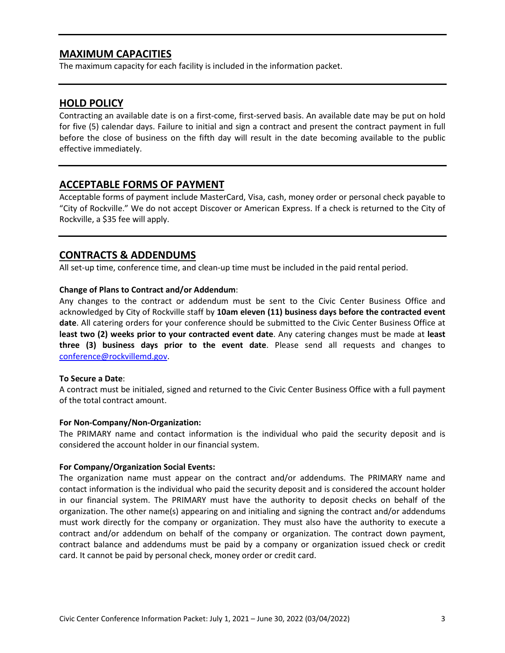## **MAXIMUM CAPACITIES**

The maximum capacity for each facility is included in the information packet.

## **HOLD POLICY**

Contracting an available date is on a first-come, first-served basis. An available date may be put on hold for five (5) calendar days. Failure to initial and sign a contract and present the contract payment in full before the close of business on the fifth day will result in the date becoming available to the public effective immediately.

## **ACCEPTABLE FORMS OF PAYMENT**

Acceptable forms of payment include MasterCard, Visa, cash, money order or personal check payable to "City of Rockville." We do not accept Discover or American Express. If a check is returned to the City of Rockville, a \$35 fee will apply.

## **CONTRACTS & ADDENDUMS**

All set-up time, conference time, and clean-up time must be included in the paid rental period.

### **Change of Plans to Contract and/or Addendum**:

Any changes to the contract or addendum must be sent to the Civic Center Business Office and acknowledged by City of Rockville staff by **10am eleven (11) business days before the contracted event date**. All catering orders for your conference should be submitted to the Civic Center Business Office at **least two (2) weeks prior to your contracted event date**. Any catering changes must be made at **least three (3) business days prior to the event date**. Please send all requests and changes to [conference@rockvillemd.gov.](mailto:conference@rockvillemd.gov)

#### **To Secure a Date**:

A contract must be initialed, signed and returned to the Civic Center Business Office with a full payment of the total contract amount.

#### **For Non-Company/Non-Organization:**

The PRIMARY name and contact information is the individual who paid the security deposit and is considered the account holder in our financial system.

#### **For Company/Organization Social Events:**

The organization name must appear on the contract and/or addendums. The PRIMARY name and contact information is the individual who paid the security deposit and is considered the account holder in our financial system. The PRIMARY must have the authority to deposit checks on behalf of the organization. The other name(s) appearing on and initialing and signing the contract and/or addendums must work directly for the company or organization. They must also have the authority to execute a contract and/or addendum on behalf of the company or organization. The contract down payment, contract balance and addendums must be paid by a company or organization issued check or credit card. It cannot be paid by personal check, money order or credit card.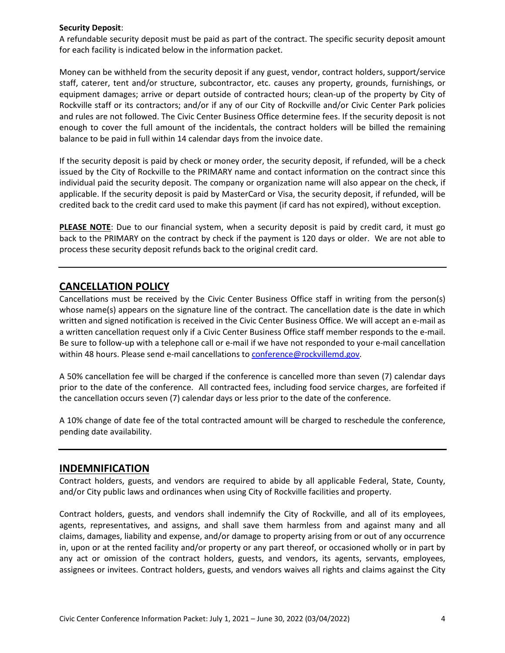#### **Security Deposit**:

A refundable security deposit must be paid as part of the contract. The specific security deposit amount for each facility is indicated below in the information packet.

Money can be withheld from the security deposit if any guest, vendor, contract holders, support/service staff, caterer, tent and/or structure, subcontractor, etc. causes any property, grounds, furnishings, or equipment damages; arrive or depart outside of contracted hours; clean-up of the property by City of Rockville staff or its contractors; and/or if any of our City of Rockville and/or Civic Center Park policies and rules are not followed. The Civic Center Business Office determine fees. If the security deposit is not enough to cover the full amount of the incidentals, the contract holders will be billed the remaining balance to be paid in full within 14 calendar days from the invoice date.

If the security deposit is paid by check or money order, the security deposit, if refunded, will be a check issued by the City of Rockville to the PRIMARY name and contact information on the contract since this individual paid the security deposit. The company or organization name will also appear on the check, if applicable. If the security deposit is paid by MasterCard or Visa, the security deposit, if refunded, will be credited back to the credit card used to make this payment (if card has not expired), without exception.

**PLEASE NOTE**: Due to our financial system, when a security deposit is paid by credit card, it must go back to the PRIMARY on the contract by check if the payment is 120 days or older. We are not able to process these security deposit refunds back to the original credit card.

## **CANCELLATION POLICY**

Cancellations must be received by the Civic Center Business Office staff in writing from the person(s) whose name(s) appears on the signature line of the contract. The cancellation date is the date in which written and signed notification is received in the Civic Center Business Office. We will accept an e-mail as a written cancellation request only if a Civic Center Business Office staff member responds to the e-mail. Be sure to follow-up with a telephone call or e-mail if we have not responded to your e-mail cancellation within 48 hours. Please send e-mail cancellations to [conference@rockvillemd.gov.](mailto:conference@rockvillemd.gov)

A 50% cancellation fee will be charged if the conference is cancelled more than seven (7) calendar days prior to the date of the conference. All contracted fees, including food service charges, are forfeited if the cancellation occurs seven (7) calendar days or less prior to the date of the conference.

A 10% change of date fee of the total contracted amount will be charged to reschedule the conference, pending date availability.

## **INDEMNIFICATION**

Contract holders, guests, and vendors are required to abide by all applicable Federal, State, County, and/or City public laws and ordinances when using City of Rockville facilities and property.

Contract holders, guests, and vendors shall indemnify the City of Rockville, and all of its employees, agents, representatives, and assigns, and shall save them harmless from and against many and all claims, damages, liability and expense, and/or damage to property arising from or out of any occurrence in, upon or at the rented facility and/or property or any part thereof, or occasioned wholly or in part by any act or omission of the contract holders, guests, and vendors, its agents, servants, employees, assignees or invitees. Contract holders, guests, and vendors waives all rights and claims against the City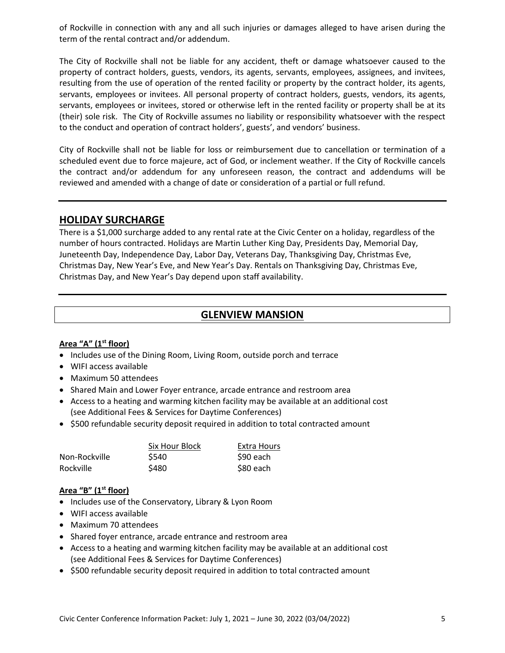of Rockville in connection with any and all such injuries or damages alleged to have arisen during the term of the rental contract and/or addendum.

The City of Rockville shall not be liable for any accident, theft or damage whatsoever caused to the property of contract holders, guests, vendors, its agents, servants, employees, assignees, and invitees, resulting from the use of operation of the rented facility or property by the contract holder, its agents, servants, employees or invitees. All personal property of contract holders, guests, vendors, its agents, servants, employees or invitees, stored or otherwise left in the rented facility or property shall be at its (their) sole risk.The City of Rockville assumes no liability or responsibility whatsoever with the respect to the conduct and operation of contract holders', guests', and vendors' business.

City of Rockville shall not be liable for loss or reimbursement due to cancellation or termination of a scheduled event due to force majeure, act of God, or inclement weather. If the City of Rockville cancels the contract and/or addendum for any unforeseen reason, the contract and addendums will be reviewed and amended with a change of date or consideration of a partial or full refund.

## **HOLIDAY SURCHARGE**

There is a \$1,000 surcharge added to any rental rate at the Civic Center on a holiday, regardless of the number of hours contracted. Holidays are Martin Luther King Day, Presidents Day, Memorial Day, Juneteenth Day, Independence Day, Labor Day, Veterans Day, Thanksgiving Day, Christmas Eve, Christmas Day, New Year's Eve, and New Year's Day. Rentals on Thanksgiving Day, Christmas Eve, Christmas Day, and New Year's Day depend upon staff availability.

## **GLENVIEW MANSION**

## **Area "A" (1st floor)**

- Includes use of the Dining Room, Living Room, outside porch and terrace
- WIFI access available
- Maximum 50 attendees
- Shared Main and Lower Foyer entrance, arcade entrance and restroom area
- Access to a heating and warming kitchen facility may be available at an additional cost (see Additional Fees & Services for Daytime Conferences)
- \$500 refundable security deposit required in addition to total contracted amount

|               | Six Hour Block | Extra Hours |
|---------------|----------------|-------------|
| Non-Rockville | \$540          | S90 each    |
| Rockville     | \$480          | \$80 each   |

### **Area "B" (1st floor)**

- Includes use of the Conservatory, Library & Lyon Room
- WIFI access available
- Maximum 70 attendees
- Shared foyer entrance, arcade entrance and restroom area
- Access to a heating and warming kitchen facility may be available at an additional cost (see Additional Fees & Services for Daytime Conferences)
- \$500 refundable security deposit required in addition to total contracted amount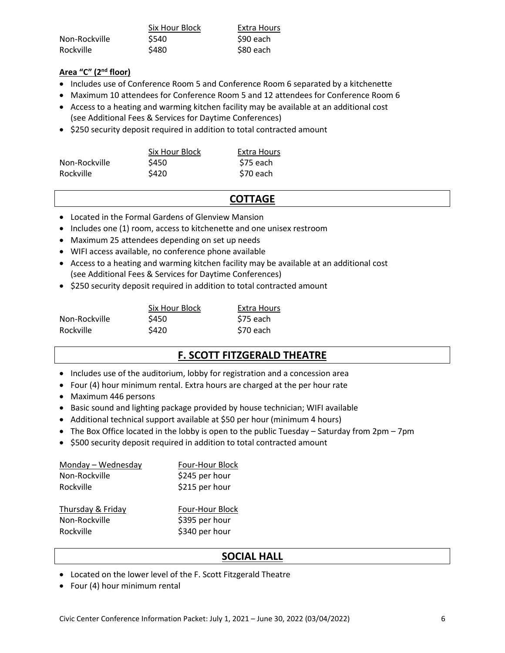|                  | Six Hour Block | Extra Hours |
|------------------|----------------|-------------|
| Non-Rockville    | \$540          | S90 each    |
| <b>Rockville</b> | \$480          | \$80 each   |

## **Area "C" (2 nd floor)**

- Includes use of Conference Room 5 and Conference Room 6 separated by a kitchenette
- Maximum 10 attendees for Conference Room 5 and 12 attendees for Conference Room 6
- Access to a heating and warming kitchen facility may be available at an additional cost (see Additional Fees & Services for Daytime Conferences)
- \$250 security deposit required in addition to total contracted amount

|               | Six Hour Block | Extra Hours |
|---------------|----------------|-------------|
| Non-Rockville | \$450          | \$75 each   |
| Rockville     | \$420          | S70 each    |

## **COTTAGE**

- Located in the Formal Gardens of Glenview Mansion
- Includes one (1) room, access to kitchenette and one unisex restroom
- Maximum 25 attendees depending on set up needs
- WIFI access available, no conference phone available
- Access to a heating and warming kitchen facility may be available at an additional cost (see Additional Fees & Services for Daytime Conferences)
- \$250 security deposit required in addition to total contracted amount

|               | Six Hour Block | Extra Hours |
|---------------|----------------|-------------|
| Non-Rockville | \$450          | S75 each    |
| Rockville     | \$420          | \$70 each   |

## **F. SCOTT FITZGERALD THEATRE**

- Includes use of the auditorium, lobby for registration and a concession area
- Four (4) hour minimum rental. Extra hours are charged at the per hour rate
- Maximum 446 persons
- Basic sound and lighting package provided by house technician; WIFI available
- Additional technical support available at \$50 per hour (minimum 4 hours)
- The Box Office located in the lobby is open to the public Tuesday Saturday from 2pm 7pm
- \$500 security deposit required in addition to total contracted amount

| Monday - Wednesday | Four-Hour Block |
|--------------------|-----------------|
| Non-Rockville      | \$245 per hour  |
| Rockville          | \$215 per hour  |
|                    |                 |
| Thursday & Friday  | Four-Hour Block |
| Non-Rockville      | \$395 per hour  |
| Rockville          | \$340 per hour  |
|                    |                 |

## **SOCIAL HALL**

- Located on the lower level of the F. Scott Fitzgerald Theatre
- Four (4) hour minimum rental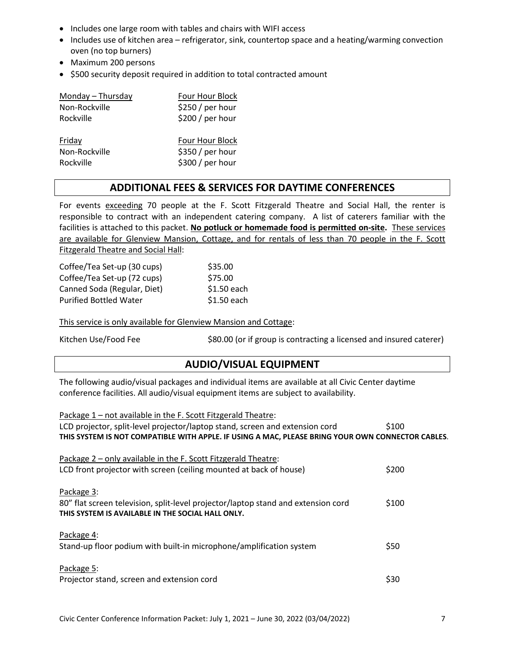- Includes one large room with tables and chairs with WIFI access
- Includes use of kitchen area refrigerator, sink, countertop space and a heating/warming convection oven (no top burners)
- Maximum 200 persons
- \$500 security deposit required in addition to total contracted amount

| Monday - Thursday | Four Hour Block  |
|-------------------|------------------|
| Non-Rockville     | \$250/per hour   |
| Rockville         | \$200 / per hour |
|                   |                  |
|                   |                  |
| Friday            | Four Hour Block  |
| Non-Rockville     | \$350 / per hour |

## **ADDITIONAL FEES & SERVICES FOR DAYTIME CONFERENCES**

For events exceeding 70 people at the F. Scott Fitzgerald Theatre and Social Hall, the renter is responsible to contract with an independent catering company. A list of caterers familiar with the facilities is attached to this packet. **No potluck or homemade food is permitted on-site.** These services are available for Glenview Mansion, Cottage, and for rentals of less than 70 people in the F. Scott Fitzgerald Theatre and Social Hall:

| Coffee/Tea Set-up (30 cups)   | \$35.00     |
|-------------------------------|-------------|
| Coffee/Tea Set-up (72 cups)   | \$75.00     |
| Canned Soda (Regular, Diet)   | \$1.50 each |
| <b>Purified Bottled Water</b> | \$1.50 each |

This service is only available for Glenview Mansion and Cottage:

Kitchen Use/Food Fee  $\frac{1}{2}$  \$80.00 (or if group is contracting a licensed and insured caterer)

## **AUDIO/VISUAL EQUIPMENT**

The following audio/visual packages and individual items are available at all Civic Center daytime conference facilities. All audio/visual equipment items are subject to availability.

| Package 1 - not available in the F. Scott Fitzgerald Theatre:                                     |       |
|---------------------------------------------------------------------------------------------------|-------|
| LCD projector, split-level projector/laptop stand, screen and extension cord                      | \$100 |
| THIS SYSTEM IS NOT COMPATIBLE WITH APPLE. IF USING A MAC, PLEASE BRING YOUR OWN CONNECTOR CABLES. |       |
|                                                                                                   |       |
| Package 2 - only available in the F. Scott Fitzgerald Theatre:                                    |       |
| LCD front projector with screen (ceiling mounted at back of house)                                | \$200 |
|                                                                                                   |       |
| Package 3:                                                                                        |       |
| 80" flat screen television, split-level projector/laptop stand and extension cord                 | \$100 |
| THIS SYSTEM IS AVAILABLE IN THE SOCIAL HALL ONLY.                                                 |       |
|                                                                                                   |       |
| Package 4:                                                                                        |       |
| Stand-up floor podium with built-in microphone/amplification system                               | \$50  |
|                                                                                                   |       |
| Package 5:                                                                                        |       |
| Projector stand, screen and extension cord                                                        | \$30  |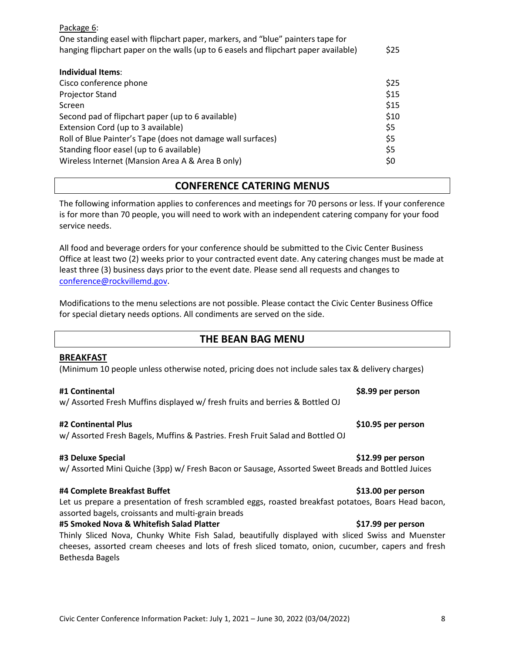| Package 6:                                                                          |      |
|-------------------------------------------------------------------------------------|------|
| One standing easel with flipchart paper, markers, and "blue" painters tape for      |      |
| hanging flipchart paper on the walls (up to 6 easels and flipchart paper available) | \$25 |
|                                                                                     |      |
| Individual Items:                                                                   |      |
| Cisco conference phone                                                              | \$25 |
| <b>Projector Stand</b>                                                              | \$15 |
| Screen                                                                              | \$15 |
| Second pad of flipchart paper (up to 6 available)                                   | \$10 |
| Extension Cord (up to 3 available)                                                  | \$5  |
| Roll of Blue Painter's Tape (does not damage wall surfaces)                         | \$5  |
| Standing floor easel (up to 6 available)                                            | \$5  |
| Wireless Internet (Mansion Area A & Area B only)                                    | \$0  |

## **CONFERENCE CATERING MENUS**

The following information applies to conferences and meetings for 70 persons or less. If your conference is for more than 70 people, you will need to work with an independent catering company for your food service needs.

All food and beverage orders for your conference should be submitted to the Civic Center Business Office at least two (2) weeks prior to your contracted event date. Any catering changes must be made at least three (3) business days prior to the event date. Please send all requests and changes to [conference@rockvillemd.gov.](mailto:conference@rockvillemd.gov)

Modifications to the menu selections are not possible. Please contact the Civic Center Business Office for special dietary needs options. All condiments are served on the side.

## **THE BEAN BAG MENU**

### **BREAKFAST**

(Minimum 10 people unless otherwise noted, pricing does not include sales tax & delivery charges)

#### **#1 Continental \$8.99 per person**

w/ Assorted Fresh Muffins displayed w/ fresh fruits and berries & Bottled OJ

#### **#2 Continental Plus \$10.95 per person**

w/ Assorted Fresh Bagels, Muffins & Pastries. Fresh Fruit Salad and Bottled OJ

#### **#3 Deluxe Special \$12.99 per person**

# w/ Assorted Mini Quiche (3pp) w/ Fresh Bacon or Sausage, Assorted Sweet Breads and Bottled Juices

#### **#4 Complete Breakfast Buffet \$13.00 per person**

Let us prepare a presentation of fresh scrambled eggs, roasted breakfast potatoes, Boars Head bacon, assorted bagels, croissants and multi-grain breads

### **#5 Smoked Nova & Whitefish Salad Platter \$17.99 per person**

Thinly Sliced Nova, Chunky White Fish Salad, beautifully displayed with sliced Swiss and Muenster cheeses, assorted cream cheeses and lots of fresh sliced tomato, onion, cucumber, capers and fresh Bethesda Bagels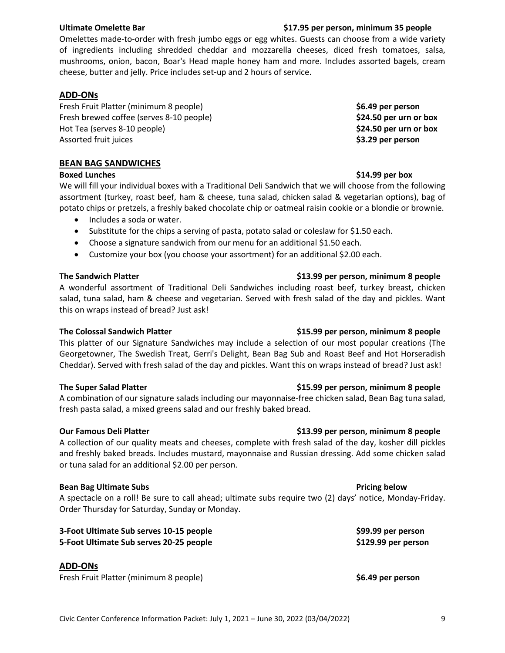Omelettes made-to-order with fresh jumbo eggs or egg whites. Guests can choose from a wide variety of ingredients including shredded cheddar and mozzarella cheeses, diced fresh tomatoes, salsa, mushrooms, onion, bacon, Boar's Head maple honey ham and more. Includes assorted bagels, cream cheese, butter and jelly. Price includes set-up and 2 hours of service.

### **ADD-ONs**

Fresh Fruit Platter (minimum 8 people) **\$6.49 per person** Fresh brewed coffee (serves 8-10 people) **\$24.50 per urn or box** Hot Tea (serves 8-10 people) **\$24.50 per urn or box** Assorted fruit juices **\$3.29 per person**

#### **BEAN BAG SANDWICHES**

We will fill your individual boxes with a Traditional Deli Sandwich that we will choose from the following assortment (turkey, roast beef, ham & cheese, tuna salad, chicken salad & vegetarian options), bag of potato chips or pretzels, a freshly baked chocolate chip or oatmeal raisin cookie or a blondie or brownie.

- Includes a soda or water.
- Substitute for the chips a serving of pasta, potato salad or coleslaw for \$1.50 each.
- Choose a signature sandwich from our menu for an additional \$1.50 each.
- Customize your box (you choose your assortment) for an additional \$2.00 each.

#### **The Sandwich Platter \$13.99 per person, minimum 8 people**

A wonderful assortment of Traditional Deli Sandwiches including roast beef, turkey breast, chicken salad, tuna salad, ham & cheese and vegetarian. Served with fresh salad of the day and pickles. Want this on wraps instead of bread? Just ask!

#### **The Colossal Sandwich Platter \$15.99 per person, minimum 8 people**

This platter of our Signature Sandwiches may include a selection of our most popular creations (The Georgetowner, The Swedish Treat, Gerri's Delight, Bean Bag Sub and Roast Beef and Hot Horseradish Cheddar). Served with fresh salad of the day and pickles. Want this on wraps instead of bread? Just ask!

#### **The Super Salad Platter \$15.99 per person, minimum 8 people**

A combination of our signature salads including our mayonnaise-free chicken salad, Bean Bag tuna salad, fresh pasta salad, a mixed greens salad and our freshly baked bread.

A collection of our quality meats and cheeses, complete with fresh salad of the day, kosher dill pickles and freshly baked breads. Includes mustard, mayonnaise and Russian dressing. Add some chicken salad or tuna salad for an additional \$2.00 per person.

#### **Bean Bag Ultimate Subs Pricing below Pricing below**

A spectacle on a roll! Be sure to call ahead; ultimate subs require two (2) days' notice, Monday-Friday. Order Thursday for Saturday, Sunday or Monday.

**3-Foot Ultimate Sub serves 10-15 people \$99.99 per person 5-Foot Ultimate Sub serves 20-25 people \$129.99 per person**

### **ADD-ONs**

Fresh Fruit Platter (minimum 8 people) **\$6.49 per person**

## **Our Famous Deli Platter \$13.99 per person, minimum 8 people**

## **Boxed Lunches \$14.99 per box**

## **Ultimate Omelette Bar \$17.95 per person, minimum 35 people**